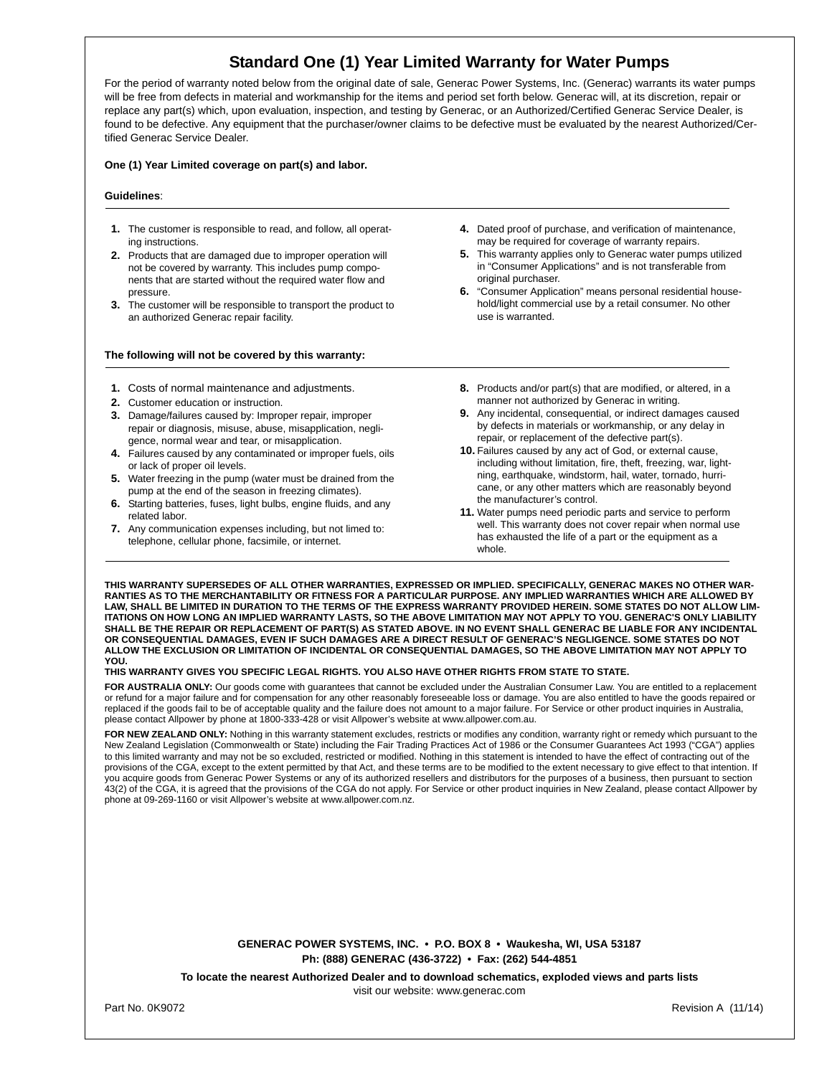# **Standard One (1) Year Limited Warranty for Water Pumps**

For the period of warranty noted below from the original date of sale, Generac Power Systems, Inc. (Generac) warrants its water pumps will be free from defects in material and workmanship for the items and period set forth below. Generac will, at its discretion, repair or replace any part(s) which, upon evaluation, inspection, and testing by Generac, or an Authorized/Certified Generac Service Dealer, is found to be defective. Any equipment that the purchaser/owner claims to be defective must be evaluated by the nearest Authorized/Certified Generac Service Dealer.

# **One (1) Year Limited coverage on part(s) and labor.**

## **Guidelines**:

- **1.** The customer is responsible to read, and follow, all operating instructions.
- **2.** Products that are damaged due to improper operation will not be covered by warranty. This includes pump components that are started without the required water flow and pressure.
- **3.** The customer will be responsible to transport the product to an authorized Generac repair facility.

# **The following will not be covered by this warranty:**

- **1.** Costs of normal maintenance and adjustments.
- **2.** Customer education or instruction.
- **3.** Damage/failures caused by: Improper repair, improper repair or diagnosis, misuse, abuse, misapplication, negligence, normal wear and tear, or misapplication.
- **4.** Failures caused by any contaminated or improper fuels, oils or lack of proper oil levels.
- **5.** Water freezing in the pump (water must be drained from the pump at the end of the season in freezing climates).
- **6.** Starting batteries, fuses, light bulbs, engine fluids, and any related labor.
- **7.** Any communication expenses including, but not limed to: telephone, cellular phone, facsimile, or internet.
- **4.** Dated proof of purchase, and verification of maintenance, may be required for coverage of warranty repairs.
- **5.** This warranty applies only to Generac water pumps utilized in "Consumer Applications" and is not transferable from original purchaser.
- **6.** "Consumer Application" means personal residential household/light commercial use by a retail consumer. No other use is warranted.
- **8.** Products and/or part(s) that are modified, or altered, in a manner not authorized by Generac in writing.
- **9.** Any incidental, consequential, or indirect damages caused by defects in materials or workmanship, or any delay in repair, or replacement of the defective part(s).
- **10.** Failures caused by any act of God, or external cause, including without limitation, fire, theft, freezing, war, lightning, earthquake, windstorm, hail, water, tornado, hurricane, or any other matters which are reasonably beyond the manufacturer's control.
- **11.** Water pumps need periodic parts and service to perform well. This warranty does not cover repair when normal use has exhausted the life of a part or the equipment as a whole.

**THIS WARRANTY SUPERSEDES OF ALL OTHER WARRANTIES, EXPRESSED OR IMPLIED. SPECIFICALLY, GENERAC MAKES NO OTHER WAR-RANTIES AS TO THE MERCHANTABILITY OR FITNESS FOR A PARTICULAR PURPOSE. ANY IMPLIED WARRANTIES WHICH ARE ALLOWED BY LAW, SHALL BE LIMITED IN DURATION TO THE TERMS OF THE EXPRESS WARRANTY PROVIDED HEREIN. SOME STATES DO NOT ALLOW LIM-ITATIONS ON HOW LONG AN IMPLIED WARRANTY LASTS, SO THE ABOVE LIMITATION MAY NOT APPLY TO YOU. GENERAC'S ONLY LIABILITY SHALL BE THE REPAIR OR REPLACEMENT OF PART(S) AS STATED ABOVE. IN NO EVENT SHALL GENERAC BE LIABLE FOR ANY INCIDENTAL OR CONSEQUENTIAL DAMAGES, EVEN IF SUCH DAMAGES ARE A DIRECT RESULT OF GENERAC'S NEGLIGENCE. SOME STATES DO NOT ALLOW THE EXCLUSION OR LIMITATION OF INCIDENTAL OR CONSEQUENTIAL DAMAGES, SO THE ABOVE LIMITATION MAY NOT APPLY TO YOU.** 

## **THIS WARRANTY GIVES YOU SPECIFIC LEGAL RIGHTS. YOU ALSO HAVE OTHER RIGHTS FROM STATE TO STATE.**

**FOR AUSTRALIA ONLY:** Our goods come with guarantees that cannot be excluded under the Australian Consumer Law. You are entitled to a replacement or refund for a major failure and for compensation for any other reasonably foreseeable loss or damage. You are also entitled to have the goods repaired or replaced if the goods fail to be of acceptable quality and the failure does not amount to a major failure. For Service or other product inquiries in Australia, please contact Allpower by phone at 1800-333-428 or visit Allpower's website at www.allpower.com.au.

FOR NEW ZEALAND ONLY: Nothing in this warranty statement excludes, restricts or modifies any condition, warranty right or remedy which pursuant to the New Zealand Legislation (Commonwealth or State) including the Fair Trading Practices Act of 1986 or the Consumer Guarantees Act 1993 ("CGA") applies to this limited warranty and may not be so excluded, restricted or modified. Nothing in this statement is intended to have the effect of contracting out of the provisions of the CGA, except to the extent permitted by that Act, and these terms are to be modified to the extent necessary to give effect to that intention. If you acquire goods from Generac Power Systems or any of its authorized resellers and distributors for the purposes of a business, then pursuant to section 43(2) of the CGA, it is agreed that the provisions of the CGA do not apply. For Service or other product inquiries in New Zealand, please contact Allpower by phone at 09-269-1160 or visit Allpower's website at www.allpower.com.nz.

> **GENERAC POWER SYSTEMS, INC. • P.O. BOX 8 • Waukesha, WI, USA 53187 Ph: (888) GENERAC (436-3722) • Fax: (262) 544-4851**

**To locate the nearest Authorized Dealer and to download schematics, exploded views and parts lists**

visit our website: www.generac.com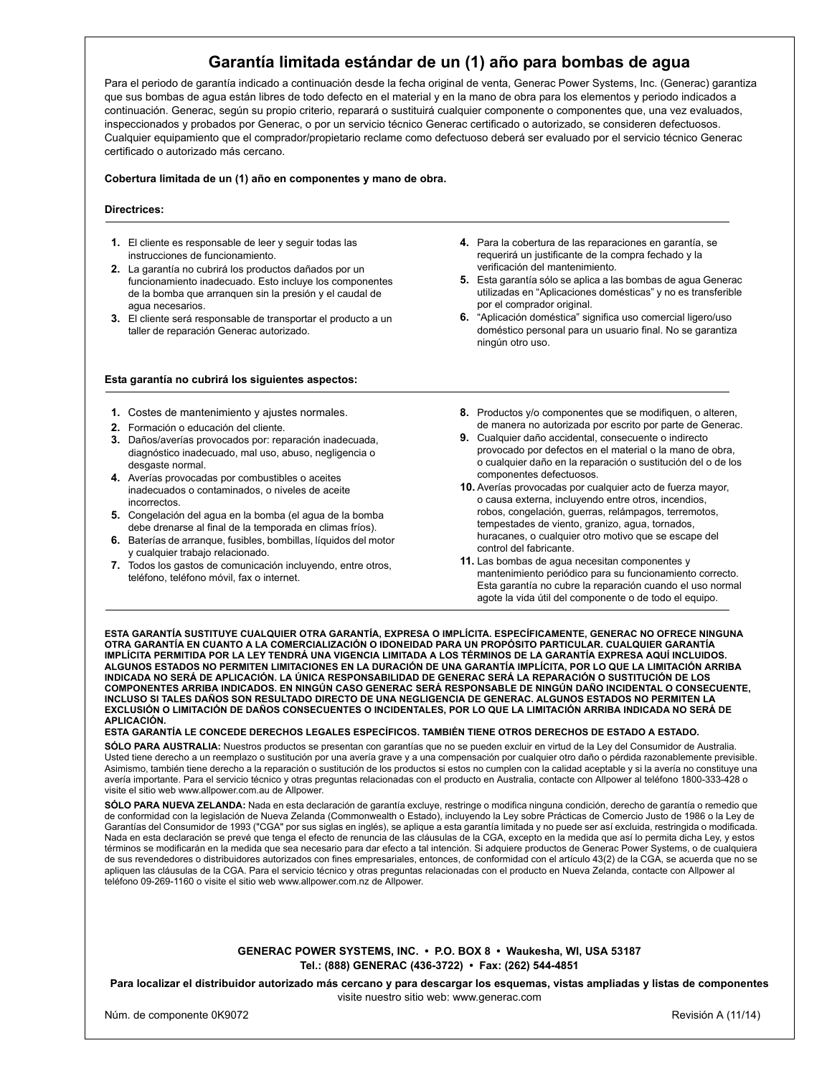# **Garantía limitada estándar de un (1) año para bombas de agua**

Para el periodo de garantía indicado a continuación desde la fecha original de venta, Generac Power Systems, Inc. (Generac) garantiza que sus bombas de agua están libres de todo defecto en el material y en la mano de obra para los elementos y periodo indicados a continuación. Generac, según su propio criterio, reparará o sustituirá cualquier componente o componentes que, una vez evaluados, inspeccionados y probados por Generac, o por un servicio técnico Generac certificado o autorizado, se consideren defectuosos. Cualquier equipamiento que el comprador/propietario reclame como defectuoso deberá ser evaluado por el servicio técnico Generac certificado o autorizado más cercano.

## **Cobertura limitada de un (1) año en componentes y mano de obra.**

# **Directrices:**

- **1.** El cliente es responsable de leer y seguir todas las instrucciones de funcionamiento.
- **2.** La garantía no cubrirá los productos dañados por un funcionamiento inadecuado. Esto incluye los componentes de la bomba que arranquen sin la presión y el caudal de agua necesarios.
- **3.** El cliente será responsable de transportar el producto a un taller de reparación Generac autorizado.

#### **Esta garantía no cubrirá los siguientes aspectos:**

- **1.** Costes de mantenimiento y ajustes normales.
- **2.** Formación o educación del cliente.
- **3.** Daños/averías provocados por: reparación inadecuada, diagnóstico inadecuado, mal uso, abuso, negligencia o desgaste normal.
- **4.** Averías provocadas por combustibles o aceites inadecuados o contaminados, o niveles de aceite incorrectos.
- **5.** Congelación del agua en la bomba (el agua de la bomba debe drenarse al final de la temporada en climas fríos).
- **6.** Baterías de arranque, fusibles, bombillas, líquidos del motor y cualquier trabajo relacionado.
- **7.** Todos los gastos de comunicación incluyendo, entre otros, teléfono, teléfono móvil, fax o internet.
- **4.** Para la cobertura de las reparaciones en garantía, se requerirá un justificante de la compra fechado y la verificación del mantenimiento.
- **5.** Esta garantía sólo se aplica a las bombas de agua Generac utilizadas en "Aplicaciones domésticas" y no es transferible por el comprador original.
- **6.** "Aplicación doméstica" significa uso comercial ligero/uso doméstico personal para un usuario final. No se garantiza ningún otro uso.
- **8.** Productos y/o componentes que se modifiquen, o alteren, de manera no autorizada por escrito por parte de Generac.
- **9.** Cualquier daño accidental, consecuente o indirecto provocado por defectos en el material o la mano de obra, o cualquier daño en la reparación o sustitución del o de los componentes defectuosos.
- **10.** Averías provocadas por cualquier acto de fuerza mayor, o causa externa, incluyendo entre otros, incendios, robos, congelación, guerras, relámpagos, terremotos, tempestades de viento, granizo, agua, tornados, huracanes, o cualquier otro motivo que se escape del control del fabricante.
- **11.** Las bombas de agua necesitan componentes y mantenimiento periódico para su funcionamiento correcto. Esta garantía no cubre la reparación cuando el uso normal agote la vida útil del componente o de todo el equipo.

**ESTA GARANTÍA SUSTITUYE CUALQUIER OTRA GARANTÍA, EXPRESA O IMPLÍCITA. ESPECÍFICAMENTE, GENERAC NO OFRECE NINGUNA OTRA GARANTÍA EN CUANTO A LA COMERCIALIZACIÓN O IDONEIDAD PARA UN PROPÓSITO PARTICULAR. CUALQUIER GARANTÍA IMPLÍCITA PERMITIDA POR LA LEY TENDRÁ UNA VIGENCIA LIMITADA A LOS TÉRMINOS DE LA GARANTÍA EXPRESA AQUÍ INCLUIDOS. ALGUNOS ESTADOS NO PERMITEN LIMITACIONES EN LA DURACIÓN DE UNA GARANTÍA IMPLÍCITA, POR LO QUE LA LIMITACIÓN ARRIBA INDICADA NO SERÁ DE APLICACIÓN. LA ÚNICA RESPONSABILIDAD DE GENERAC SERÁ LA REPARACIÓN O SUSTITUCIÓN DE LOS COMPONENTES ARRIBA INDICADOS. EN NINGÚN CASO GENERAC SERÁ RESPONSABLE DE NINGÚN DAÑO INCIDENTAL O CONSECUENTE, INCLUSO SI TALES DAÑOS SON RESULTADO DIRECTO DE UNA NEGLIGENCIA DE GENERAC. ALGUNOS ESTADOS NO PERMITEN LA EXCLUSIÓN O LIMITACIÓN DE DAÑOS CONSECUENTES O INCIDENTALES, POR LO QUE LA LIMITACIÓN ARRIBA INDICADA NO SERÁ DE APLICACIÓN.** 

# **ESTA GARANTÍA LE CONCEDE DERECHOS LEGALES ESPECÍFICOS. TAMBIÉN TIENE OTROS DERECHOS DE ESTADO A ESTADO.**

**SÓLO PARA AUSTRALIA:** Nuestros productos se presentan con garantías que no se pueden excluir en virtud de la Ley del Consumidor de Australia. Usted tiene derecho a un reemplazo o sustitución por una avería grave y a una compensación por cualquier otro daño o pérdida razonablemente previsible. Asimismo, también tiene derecho a la reparación o sustitución de los productos si estos no cumplen con la calidad aceptable y si la avería no constituye una avería importante. Para el servicio técnico y otras preguntas relacionadas con el producto en Australia, contacte con Allpower al teléfono 1800-333-428 o visite el sitio web www.allpower.com.au de Allpower.

**SÓLO PARA NUEVA ZELANDA:** Nada en esta declaración de garantía excluye, restringe o modifica ninguna condición, derecho de garantía o remedio que de conformidad con la legislación de Nueva Zelanda (Commonwealth o Estado), incluyendo la Ley sobre Prácticas de Comercio Justo de 1986 o la Ley de Garantías del Consumidor de 1993 ("CGA" por sus siglas en inglés), se aplique a esta garantía limitada y no puede ser así excluida, restringida o modificada. Nada en esta declaración se prevé que tenga el efecto de renuncia de las cláusulas de la CGA, excepto en la medida que así lo permita dicha Ley, y estos términos se modificarán en la medida que sea necesario para dar efecto a tal intención. Si adquiere productos de Generac Power Systems, o de cualquiera de sus revendedores o distribuidores autorizados con fines empresariales, entonces, de conformidad con el artículo 43(2) de la CGA, se acuerda que no se apliquen las cláusulas de la CGA. Para el servicio técnico y otras preguntas relacionadas con el producto en Nueva Zelanda, contacte con Allpower al teléfono 09-269-1160 o visite el sitio web www.allpower.com.nz de Allpower.

> **GENERAC POWER SYSTEMS, INC. • P.O. BOX 8 • Waukesha, WI, USA 53187 Tel.: (888) GENERAC (436-3722) • Fax: (262) 544-4851**

**Para localizar el distribuidor autorizado más cercano y para descargar los esquemas, vistas ampliadas y listas de componentes** visite nuestro sitio web: www.generac.com